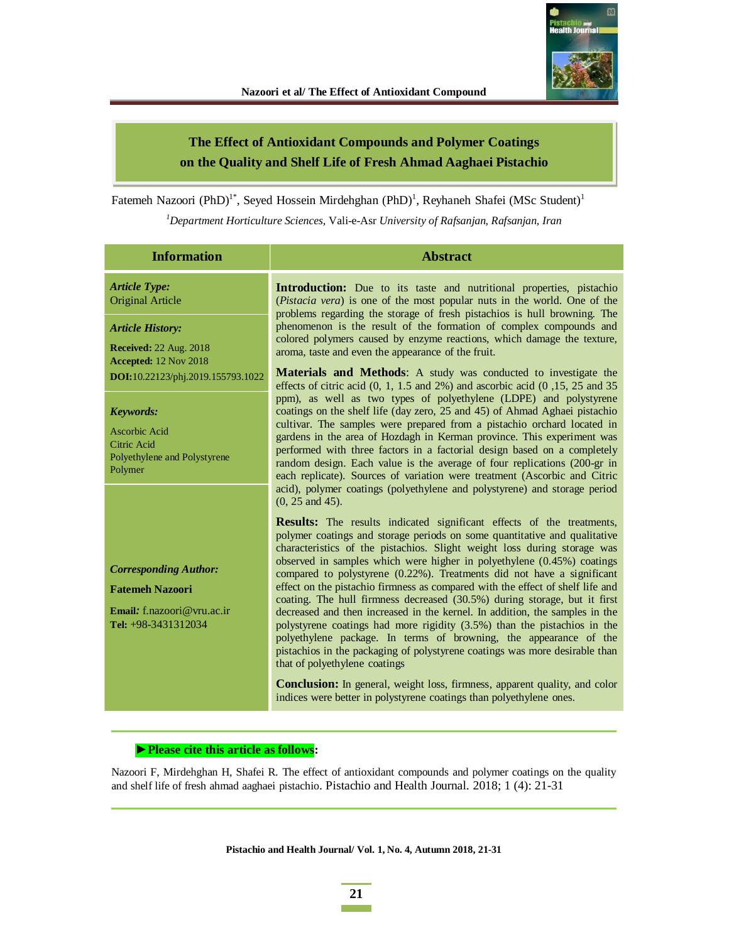

# **The Effect of Antioxidant Compounds and Polymer Coatings on the Quality and Shelf Life of Fresh Ahmad Aaghaei Pistachio**

Fatemeh Nazoori (PhD)<sup>1\*</sup>, Seyed Hossein Mirdehghan (PhD)<sup>1</sup>, Reyhaneh Shafei (MSc Student)<sup>1</sup>

*<sup>1</sup>Department Horticulture Sciences,* Vali-e-Asr *University of Rafsanjan, Rafsanjan, Iran* 

| <b>Information</b>                                                                                                     | <b>Abstract</b>                                                                                                                                                                                                                                                                                                                                                                                                                                                                                                                                                                                                                                                                                                                                                                                                                                                                                                                                                                                                                                                            |
|------------------------------------------------------------------------------------------------------------------------|----------------------------------------------------------------------------------------------------------------------------------------------------------------------------------------------------------------------------------------------------------------------------------------------------------------------------------------------------------------------------------------------------------------------------------------------------------------------------------------------------------------------------------------------------------------------------------------------------------------------------------------------------------------------------------------------------------------------------------------------------------------------------------------------------------------------------------------------------------------------------------------------------------------------------------------------------------------------------------------------------------------------------------------------------------------------------|
| <b>Article Type:</b><br><b>Original Article</b><br><b>Article History:</b><br><b>Received:</b> 22 Aug. 2018            | <b>Introduction:</b> Due to its taste and nutritional properties, pistachio<br>(Pistacia vera) is one of the most popular nuts in the world. One of the<br>problems regarding the storage of fresh pistachios is hull browning. The<br>phenomenon is the result of the formation of complex compounds and<br>colored polymers caused by enzyme reactions, which damage the texture,<br>aroma, taste and even the appearance of the fruit.                                                                                                                                                                                                                                                                                                                                                                                                                                                                                                                                                                                                                                  |
| Accepted: 12 Nov 2018<br>DOI:10.22123/phj.2019.155793.1022                                                             | <b>Materials and Methods:</b> A study was conducted to investigate the<br>effects of citric acid $(0, 1, 1.5, 2\%)$ and ascorbic acid $(0, 15, 25, 25, 35)$<br>ppm), as well as two types of polyethylene (LDPE) and polystyrene                                                                                                                                                                                                                                                                                                                                                                                                                                                                                                                                                                                                                                                                                                                                                                                                                                           |
| <b>Keywords:</b><br>Ascorbic Acid<br>Citric Acid<br>Polyethylene and Polystyrene<br>Polymer                            | coatings on the shelf life (day zero, 25 and 45) of Ahmad Aghaei pistachio<br>cultivar. The samples were prepared from a pistachio orchard located in<br>gardens in the area of Hozdagh in Kerman province. This experiment was<br>performed with three factors in a factorial design based on a completely<br>random design. Each value is the average of four replications (200-gr in<br>each replicate). Sources of variation were treatment (Ascorbic and Citric<br>acid), polymer coatings (polyethylene and polystyrene) and storage period<br>$(0, 25 \text{ and } 45).$                                                                                                                                                                                                                                                                                                                                                                                                                                                                                            |
| <b>Corresponding Author:</b><br><b>Fatemeh Nazoori</b><br><b>Email:</b> f.nazoori $@$ vru.ac.ir<br>Tel: +98-3431312034 | <b>Results:</b> The results indicated significant effects of the treatments,<br>polymer coatings and storage periods on some quantitative and qualitative<br>characteristics of the pistachios. Slight weight loss during storage was<br>observed in samples which were higher in polyethylene $(0.45%)$ coatings<br>compared to polystyrene $(0.22\%)$ . Treatments did not have a significant<br>effect on the pistachio firmness as compared with the effect of shelf life and<br>coating. The hull firmness decreased (30.5%) during storage, but it first<br>decreased and then increased in the kernel. In addition, the samples in the<br>polystyrene coatings had more rigidity (3.5%) than the pistachios in the<br>polyethylene package. In terms of browning, the appearance of the<br>pistachios in the packaging of polystyrene coatings was more desirable than<br>that of polyethylene coatings<br><b>Conclusion:</b> In general, weight loss, firmness, apparent quality, and color<br>indices were better in polystyrene coatings than polyethylene ones. |

### ▶ Please cite this article as follows:

Nazoori F, Mirdehghan H, Shafei R. The effect of antioxidant compounds and polymer coatings on the quality and shelf life of fresh ahmad aaghaei pistachio. Pistachio and Health Journal. 2018; 1 (4): 21-31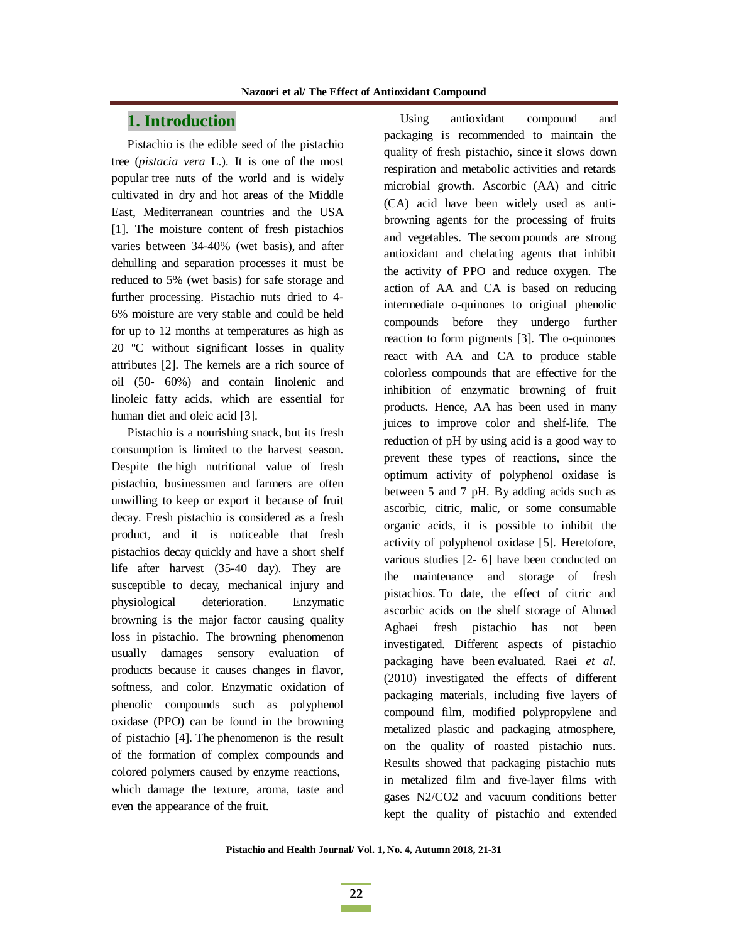# **1. Introduction**

Pistachio is the edible seed of the pistachio tree (*pistacia vera* L.). It is one of the most popular tree nuts of the world and is widely cultivated in dry and hot areas of the Middle East, Mediterranean countries and the USA [1]. The moisture content of fresh pistachios varies between 34-40% (wet basis), and after dehulling and separation processes it must be reduced to 5% (wet basis) for safe storage and further processing. Pistachio nuts dried to 4- 6% moisture are very stable and could be held for up to 12 months at temperatures as high as 20 ºC without significant losses in quality attributes [2]. The kernels are a rich source of oil (50- 60%) and contain linolenic and linoleic fatty acids, which are essential for human diet and oleic acid [3].

Pistachio is a nourishing snack, but its fresh consumption is limited to the harvest season. Despite the high nutritional value of fresh pistachio, businessmen and farmers are often unwilling to keep or export it because of fruit decay. Fresh pistachio is considered as a fresh product, and it is noticeable that fresh pistachios decay quickly and have a short shelf life after harvest (35-40 day). They are susceptible to decay, mechanical injury and physiological deterioration. Enzymatic browning is the major factor causing quality loss in pistachio. The browning phenomenon usually damages sensory evaluation of products because it causes changes in flavor, softness, and color. Enzymatic oxidation of phenolic compounds such as polyphenol oxidase (PPO) can be found in the browning of pistachio [4]. The phenomenon is the result of the formation of complex compounds and colored polymers caused by enzyme reactions, which damage the texture, aroma, taste and even the appearance of the fruit.

Using antioxidant compound and packaging is recommended to maintain the quality of fresh pistachio, since it slows down respiration and metabolic activities and retards microbial growth. Ascorbic (AA) and citric (CA) acid have been widely used as antibrowning agents for the processing of fruits and vegetables. The secom pounds are strong antioxidant and chelating agents that inhibit the activity of PPO and reduce oxygen. The action of AA and CA is based on reducing intermediate o-quinones to original phenolic compounds before they undergo further reaction to form pigments [3]. The o-quinones react with AA and CA to produce stable colorless compounds that are effective for the inhibition of enzymatic browning of fruit products. Hence, AA has been used in many juices to improve color and shelf-life. The reduction of pH by using acid is a good way to prevent these types of reactions, since the optimum activity of polyphenol oxidase is between 5 and 7 pH. By adding acids such as ascorbic, citric, malic, or some consumable organic acids, it is possible to inhibit the activity of polyphenol oxidase [5]. Heretofore, various studies [2- 6] have been conducted on the maintenance and storage of fresh pistachios. To date, the effect of citric and ascorbic acids on the shelf storage of Ahmad Aghaei fresh pistachio has not been investigated. Different aspects of pistachio packaging have been evaluated. Raei *et al*. (2010) investigated the effects of different packaging materials, including five layers of compound film, modified polypropylene and metalized plastic and packaging atmosphere, on the quality of roasted pistachio nuts. Results showed that packaging pistachio nuts in metalized film and five-layer films with gases N2/CO2 and vacuum conditions better kept the quality of pistachio and extended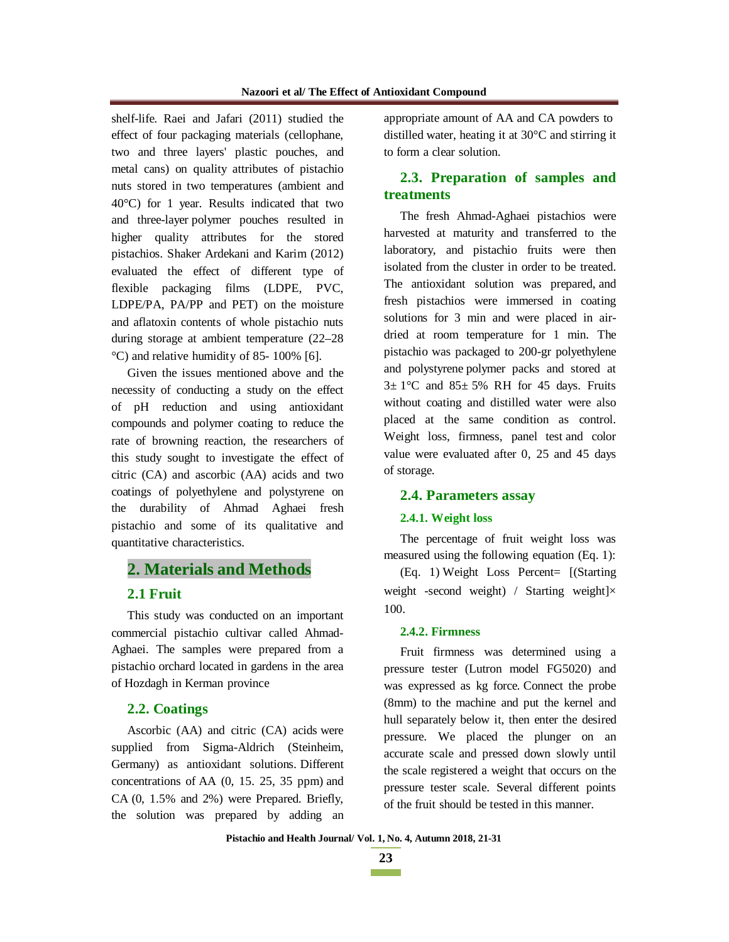shelf-life. Raei and Jafari (2011) studied the effect of four packaging materials (cellophane, two and three layers' plastic pouches, and metal cans) on quality attributes of pistachio nuts stored in two temperatures (ambient and 40°C) for 1 year. Results indicated that two and three-layer polymer pouches resulted in higher quality attributes for the stored pistachios. Shaker Ardekani and Karim (2012) evaluated the effect of different type of flexible packaging films (LDPE, PVC, LDPE/PA, PA/PP and PET) on the moisture and aflatoxin contents of whole pistachio nuts during storage at ambient temperature (22–28 °C) and relative humidity of 85- 100% [6].

Given the issues mentioned above and the necessity of conducting a study on the effect of pH reduction and using antioxidant compounds and polymer coating to reduce the rate of browning reaction, the researchers of this study sought to investigate the effect of citric (CA) and ascorbic (AA) acids and two coatings of polyethylene and polystyrene on the durability of Ahmad Aghaei fresh pistachio and some of its qualitative and quantitative characteristics.

# **2. Materials and Methods**

### **2.1 Fruit**

This study was conducted on an important commercial pistachio cultivar called Ahmad-Aghaei. The samples were prepared from a pistachio orchard located in gardens in the area of Hozdagh in Kerman province

## **2.2. Coatings**

Ascorbic (AA) and citric (CA) acids were supplied from Sigma-Aldrich (Steinheim, Germany) as antioxidant solutions. Different concentrations of AA (0, 15. 25, 35 ppm) and CA (0, 1.5% and 2%) were Prepared. Briefly, the solution was prepared by adding an appropriate amount of AA and CA powders to distilled water, heating it at 30°C and stirring it to form a clear solution.

# **2.3. Preparation of samples and treatments**

The fresh Ahmad-Aghaei pistachios were harvested at maturity and transferred to the laboratory, and pistachio fruits were then isolated from the cluster in order to be treated. The antioxidant solution was prepared, and fresh pistachios were immersed in coating solutions for 3 min and were placed in airdried at room temperature for 1 min. The pistachio was packaged to 200-gr polyethylene and polystyrene polymer packs and stored at  $3\pm 1$ °C and  $85\pm 5$ % RH for 45 days. Fruits without coating and distilled water were also placed at the same condition as control. Weight loss, firmness, panel test and color value were evaluated after 0, 25 and 45 days of storage.

#### **2.4. Parameters assay**

#### **2.4.1. Weight loss**

The percentage of fruit weight loss was measured using the following equation (Eq. 1):

(Eq. 1) Weight Loss Percent= [(Starting weight -second weight) / Starting weight]× 100.

#### **2.4.2. Firmness**

Fruit firmness was determined using a pressure tester (Lutron model FG5020) and was expressed as kg force. Connect the probe (8mm) to the machine and put the kernel and hull separately below it, then enter the desired pressure. We placed the plunger on an accurate scale and pressed down slowly until the scale registered a weight that occurs on the pressure tester scale. Several different points of the fruit should be tested in this manner.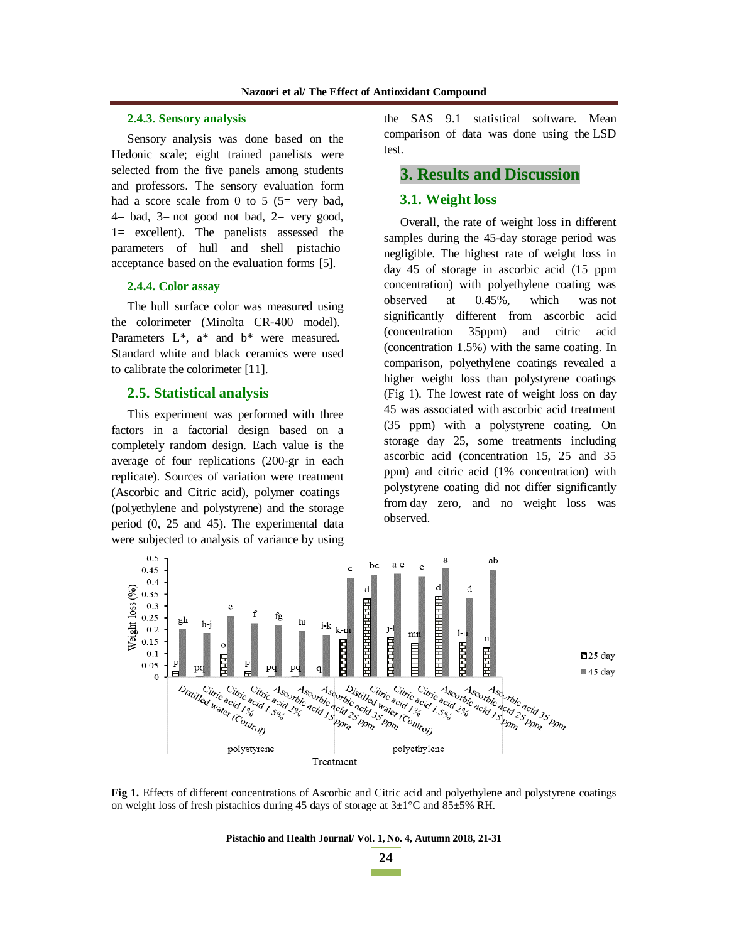#### **2.4.3. Sensory analysis**

Sensory analysis was done based on the Hedonic scale; eight trained panelists were selected from the five panels among students and professors. The sensory evaluation form had a score scale from 0 to 5  $(5=$  very bad,  $4=$  bad,  $3=$  not good not bad,  $2=$  very good, 1= excellent). The panelists assessed the parameters of hull and shell pistachio acceptance based on the evaluation forms [5].

#### **2.4.4. Color assay**

The hull surface color was measured using the colorimeter (Minolta CR-400 model). Parameters  $L^*$ ,  $a^*$  and  $b^*$  were measured. Standard white and black ceramics were used to calibrate the colorimeter [11].

#### **2.5. Statistical analysis**

This experiment was performed with three factors in a factorial design based on a completely random design. Each value is the average of four replications (200-gr in each replicate). Sources of variation were treatment (Ascorbic and Citric acid), polymer coatings (polyethylene and polystyrene) and the storage period (0, 25 and 45). The experimental data were subjected to analysis of variance by using the SAS 9.1 statistical software. Mean comparison of data was done using the LSD test.

# **3. Results and Discussion**

#### **3.1. Weight loss**

Overall, the rate of weight loss in different samples during the 45-day storage period was negligible. The highest rate of weight loss in day 45 of storage in ascorbic acid (15 ppm concentration) with polyethylene coating was observed at 0.45%, which was not significantly different from ascorbic acid (concentration 35ppm) and citric acid (concentration 1.5%) with the same coating. In comparison, polyethylene coatings revealed a higher weight loss than polystyrene coatings (Fig 1). The lowest rate of weight loss on day 45 was associated with ascorbic acid treatment (35 ppm) with a polystyrene coating. On storage day 25, some treatments including ascorbic acid (concentration 15, 25 and 35 ppm) and citric acid (1% concentration) with polystyrene coating did not differ significantly from day zero, and no weight loss was observed.



**Fig 1.** Effects of different concentrations of Ascorbic and Citric acid and polyethylene and polystyrene coatings on weight loss of fresh pistachios during 45 days of storage at  $3\pm1^{\circ}$ C and  $85\pm5\%$  RH.

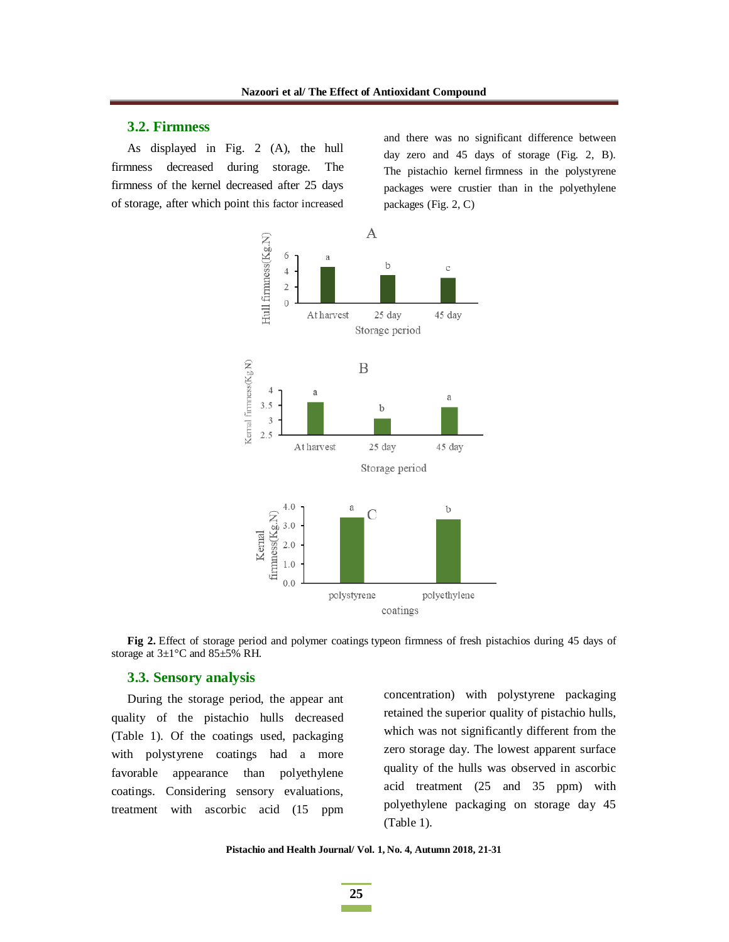### **3.2. Firmness**

As displayed in Fig. 2 (A), the hull firmness decreased during storage. The firmness of the kernel decreased after 25 days of storage, after which point this factor increased and there was no significant difference between day zero and 45 days of storage (Fig. 2, B). The pistachio kernel firmness in the polystyrene packages were crustier than in the polyethylene packages (Fig. 2, C)



**Fig 2.** Effect of storage period and polymer coatings typeon firmness of fresh pistachios during 45 days of storage at 3±1°C and 85±5% RH.

#### **3.3. Sensory analysis**

During the storage period, the appear ant quality of the pistachio hulls decreased (Table 1). Of the coatings used, packaging with polystyrene coatings had a more favorable appearance than polyethylene coatings. Considering sensory evaluations, treatment with ascorbic acid (15 ppm concentration) with polystyrene packaging retained the superior quality of pistachio hulls, which was not significantly different from the zero storage day. The lowest apparent surface quality of the hulls was observed in ascorbic acid treatment (25 and 35 ppm) with polyethylene packaging on storage day 45 (Table 1).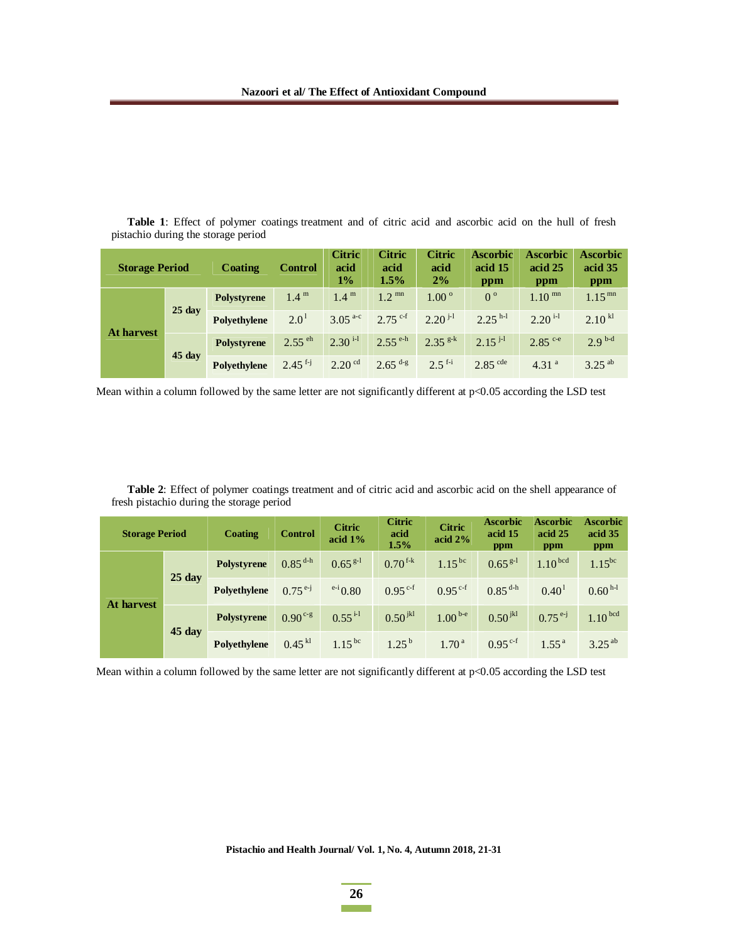| <b>Table 1:</b> Effect of polymer coatings treatment and of citric acid and ascorbic acid on the hull of fresh |  |  |  |  |  |  |  |
|----------------------------------------------------------------------------------------------------------------|--|--|--|--|--|--|--|
| pistachio during the storage period                                                                            |  |  |  |  |  |  |  |

| <b>Storage Period</b> |                  | Coating      | <b>Control</b>        | <b>Citric</b><br>acid<br>$1\%$ | <b>Citric</b><br>acid<br>1.5% | <b>Citric</b><br>acid<br>2% | <b>Ascorbic</b><br>acid 15<br>ppm | <b>Ascorbic</b><br>acid 25<br>ppm | <b>Ascorbic</b><br>acid 35<br>ppm |
|-----------------------|------------------|--------------|-----------------------|--------------------------------|-------------------------------|-----------------------------|-----------------------------------|-----------------------------------|-----------------------------------|
| <b>At harvest</b>     | $25 \text{ day}$ | Polystyrene  | 1.4 <sup>m</sup>      | 1.4 <sup>m</sup>               | $1.2^{mn}$                    | $1.00^{\circ}$              | $0^{\circ}$                       | $1.10^{mn}$                       | $1.15^{mn}$                       |
|                       |                  | Polyethylene | 2.0 <sup>1</sup>      | $3.05^{a-c}$                   | $2.75$ c-f                    | $2.20^{j-1}$                | $2.25$ <sup>h-l</sup>             | $2.20$ <sup>i-1</sup>             | 2.10 <sup>kl</sup>                |
|                       | $45 \text{ day}$ | Polystyrene  | $2.55$ <sup>eh</sup>  | $2.30$ <sup>i-1</sup>          | $2.55^{\text{e-h}}$           | $2.35^{g-k}$                | $2.15$ $^{j-1}$                   | $2.85^{\text{c-e}}$               | $2.9^{b-d}$                       |
|                       |                  | Polyethylene | $2.45$ <sup>f-j</sup> | $2.20$ <sup>cd</sup>           | $2.65$ <sup>d-g</sup>         | $2.5$ <sup>f-i</sup>        | $2.85$ <sup>cde</sup>             | 4.31 <sup>a</sup>                 | $3.25^{ab}$                       |

Mean within a column followed by the same letter are not significantly different at p<0.05 according the LSD test

**Table 2**: Effect of polymer coatings treatment and of citric acid and ascorbic acid on the shell appearance of fresh pistachio during the storage period

| <b>Storage Period</b> |                  | <b>Coating</b>     | <b>Control</b> | <b>Citric</b><br>acid $1\%$ | <b>Citric</b><br><b>Citric</b><br>acid<br>acid $2%$<br>1.5% |                     | <b>Ascorbic</b><br>acid 15<br>ppm | <b>Ascorbic</b><br>acid 25<br>ppm | <b>Ascorbic</b><br>acid 35<br>ppm |
|-----------------------|------------------|--------------------|----------------|-----------------------------|-------------------------------------------------------------|---------------------|-----------------------------------|-----------------------------------|-----------------------------------|
| <b>At harvest</b>     | $25$ day         | <b>Polystyrene</b> | $0.85^{d-h}$   | $0.65^{g-1}$                | $0.70$ <sup>f-k</sup>                                       | $1.15^{bc}$         | $0.65^{g-1}$                      | 1.10 <sup>bcd</sup>               | $1.15^{bc}$                       |
|                       |                  | Polyethylene       | $0.75^{e-j}$   | $e^{-i}$ 0.80               | $0.95^{\text{c-f}}$                                         | $0.95^{\text{c-f}}$ | $0.85^{d-h}$                      | $0.40^1$                          | $0.60^{h-l}$                      |
|                       | $45 \text{ day}$ | <b>Polystyrene</b> | $0.90^{c-g}$   | $0.55$ <sup>i-1</sup>       | $0.50^{jkl}$                                                | $1.00^{b-e}$        | $0.50^{jkl}$                      | $0.75^{e-j}$                      | 1.10 <sup>bcd</sup>               |
|                       |                  | Polyethylene       | $0.45$ kl      | $1.15^{bc}$                 | $1.25^{b}$                                                  | 1.70 <sup>a</sup>   | $0.95^{\text{c-f}}$               | $1.55^{\text{a}}$                 | $3.25^{ab}$                       |

Mean within a column followed by the same letter are not significantly different at p<0.05 according the LSD test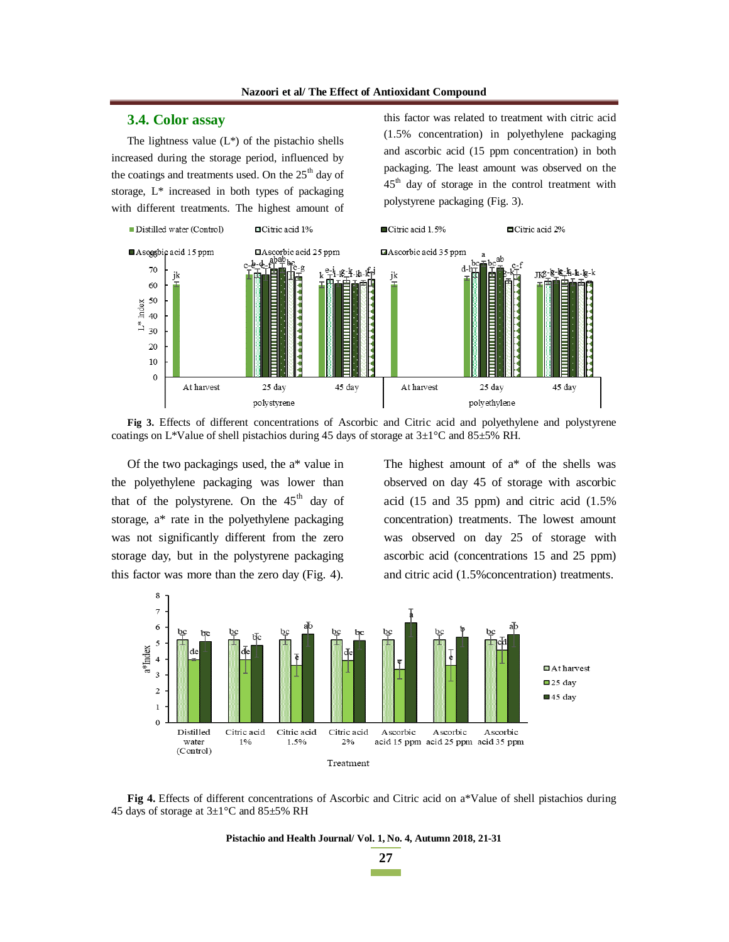### **3.4. Color assay**

The lightness value  $(L^*)$  of the pistachio shells increased during the storage period, influenced by the coatings and treatments used. On the  $25<sup>th</sup>$  day of storage, L\* increased in both types of packaging with different treatments. The highest amount of this factor was related to treatment with citric acid (1.5% concentration) in polyethylene packaging and ascorbic acid (15 ppm concentration) in both packaging. The least amount was observed on the  $45<sup>th</sup>$  day of storage in the control treatment with polystyrene packaging (Fig. 3).



**Fig 3.** Effects of different concentrations of Ascorbic and Citric acid and polyethylene and polystyrene coatings on L\*Value of shell pistachios during 45 days of storage at  $3\pm1^{\circ}$ C and  $85\pm5\%$  RH.

Of the two packagings used, the a\* value in the polyethylene packaging was lower than that of the polystyrene. On the  $45<sup>th</sup>$  day of storage, a\* rate in the polyethylene packaging was not significantly different from the zero storage day, but in the polystyrene packaging this factor was more than the zero day (Fig. 4). The highest amount of a\* of the shells was observed on day 45 of storage with ascorbic acid (15 and 35 ppm) and citric acid (1.5% concentration) treatments. The lowest amount was observed on day 25 of storage with ascorbic acid (concentrations 15 and 25 ppm) and citric acid (1.5%concentration) treatments.



**Fig 4.** Effects of different concentrations of Ascorbic and Citric acid on a\*Value of shell pistachios during 45 days of storage at 3±1°C and 85±5% RH

**Pistachio and Health Journal/ Vol. 1, No. 4, Autumn 2018, 21-31** 

**27**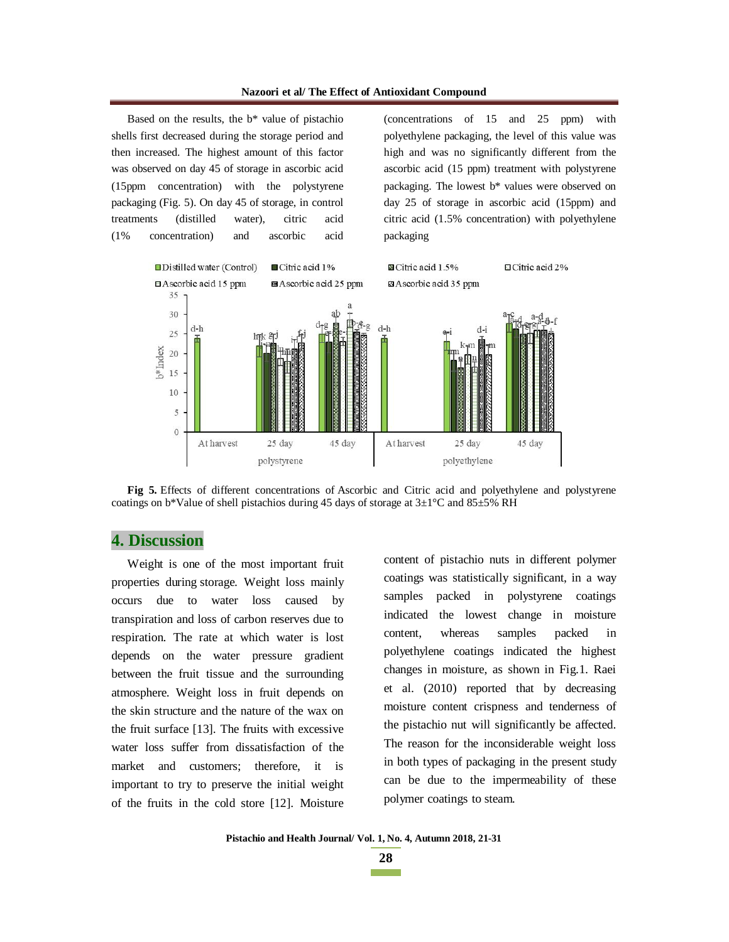Based on the results, the b\* value of pistachio shells first decreased during the storage period and then increased. The highest amount of this factor was observed on day 45 of storage in ascorbic acid (15ppm concentration) with the polystyrene packaging (Fig. 5). On day 45 of storage, in control treatments (distilled water), citric acid (1% concentration) and ascorbic acid (concentrations of 15 and 25 ppm) with polyethylene packaging, the level of this value was high and was no significantly different from the ascorbic acid (15 ppm) treatment with polystyrene packaging. The lowest b\* values were observed on day 25 of storage in ascorbic acid (15ppm) and citric acid (1.5% concentration) with polyethylene packaging



**Fig 5.** Effects of different concentrations of Ascorbic and Citric acid and polyethylene and polystyrene coatings on b\*Value of shell pistachios during 45 days of storage at 3±1°C and 85±5% RH

# **4. Discussion**

Weight is one of the most important fruit properties during storage. Weight loss mainly occurs due to water loss caused by transpiration and loss of carbon reserves due to respiration. The rate at which water is lost depends on the water pressure gradient between the fruit tissue and the surrounding atmosphere. Weight loss in fruit depends on the skin structure and the nature of the wax on the fruit surface [13]. The fruits with excessive water loss suffer from dissatisfaction of the market and customers; therefore, it is important to try to preserve the initial weight of the fruits in the cold store [12]. Moisture

content of pistachio nuts in different polymer coatings was statistically significant, in a way samples packed in polystyrene coatings indicated the lowest change in moisture content, whereas samples packed in polyethylene coatings indicated the highest changes in moisture, as shown in Fig.1. Raei et al. (2010) reported that by decreasing moisture content crispness and tenderness of the pistachio nut will significantly be affected. The reason for the inconsiderable weight loss in both types of packaging in the present study can be due to the impermeability of these polymer coatings to steam.

**28**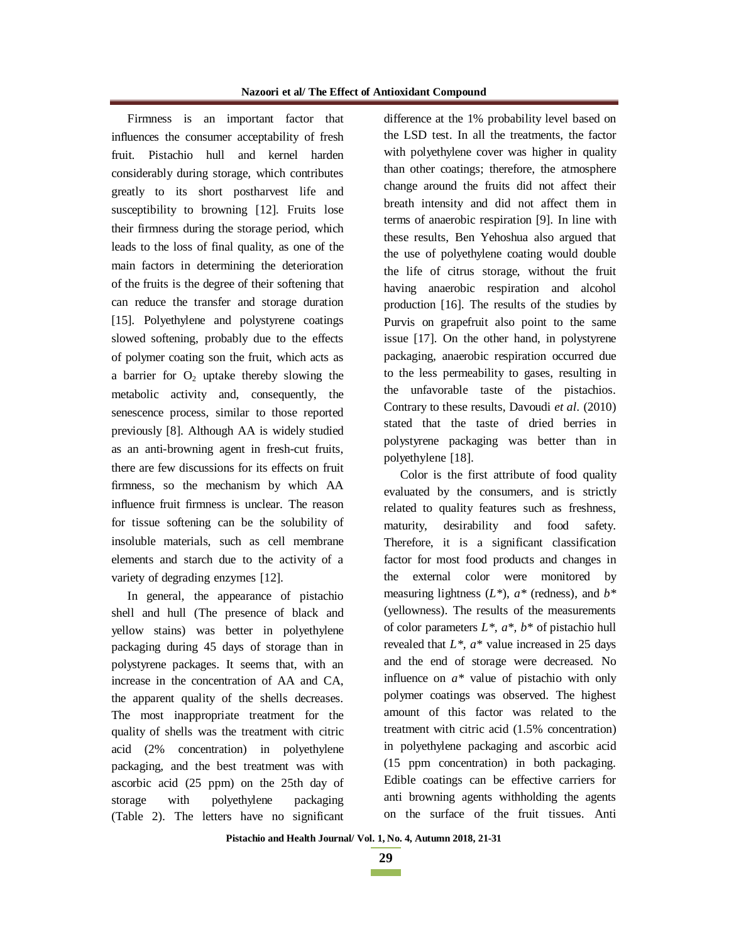Firmness is an important factor that influences the consumer acceptability of fresh fruit. Pistachio hull and kernel harden considerably during storage, which contributes greatly to its short postharvest life and susceptibility to browning [12]. Fruits lose their firmness during the storage period, which leads to the loss of final quality, as one of the main factors in determining the deterioration of the fruits is the degree of their softening that can reduce the transfer and storage duration [15]. Polyethylene and polystyrene coatings slowed softening, probably due to the effects of polymer coating son the fruit, which acts as a barrier for  $O_2$  uptake thereby slowing the metabolic activity and, consequently, the senescence process, similar to those reported previously [8]. Although AA is widely studied as an anti-browning agent in fresh-cut fruits, there are few discussions for its effects on fruit firmness, so the mechanism by which AA influence fruit firmness is unclear. The reason for tissue softening can be the solubility of insoluble materials, such as cell membrane elements and starch due to the activity of a variety of degrading enzymes [12].

In general, the appearance of pistachio shell and hull (The presence of black and yellow stains) was better in polyethylene packaging during 45 days of storage than in polystyrene packages. It seems that, with an increase in the concentration of AA and CA, the apparent quality of the shells decreases. The most inappropriate treatment for the quality of shells was the treatment with citric acid (2% concentration) in polyethylene packaging, and the best treatment was with ascorbic acid (25 ppm) on the 25th day of storage with polyethylene packaging (Table 2). The letters have no significant difference at the 1% probability level based on the LSD test. In all the treatments, the factor with polyethylene cover was higher in quality than other coatings; therefore, the atmosphere change around the fruits did not affect their breath intensity and did not affect them in terms of anaerobic respiration [9]. In line with these results, Ben Yehoshua also argued that the use of polyethylene coating would double the life of citrus storage, without the fruit having anaerobic respiration and alcohol production [16]. The results of the studies by Purvis on grapefruit also point to the same issue [17]. On the other hand, in polystyrene packaging, anaerobic respiration occurred due to the less permeability to gases, resulting in the unfavorable taste of the pistachios. Contrary to these results, Davoudi *et al*. (2010) stated that the taste of dried berries in polystyrene packaging was better than in polyethylene [18].

Color is the first attribute of food quality evaluated by the consumers, and is strictly related to quality features such as freshness, maturity, desirability and food safety. Therefore, it is a significant classification factor for most food products and changes in the external color were monitored by measuring lightness (*L\**), *a\** (redness), and *b\** (yellowness). The results of the measurements of color parameters *L\*, a\*, b\** of pistachio hull revealed that  $L^*$ ,  $a^*$  value increased in 25 days and the end of storage were decreased. No influence on *a\** value of pistachio with only polymer coatings was observed. The highest amount of this factor was related to the treatment with citric acid (1.5% concentration) in polyethylene packaging and ascorbic acid (15 ppm concentration) in both packaging. Edible coatings can be effective carriers for anti browning agents withholding the agents on the surface of the fruit tissues. Anti

```
29 
Contract Contract
```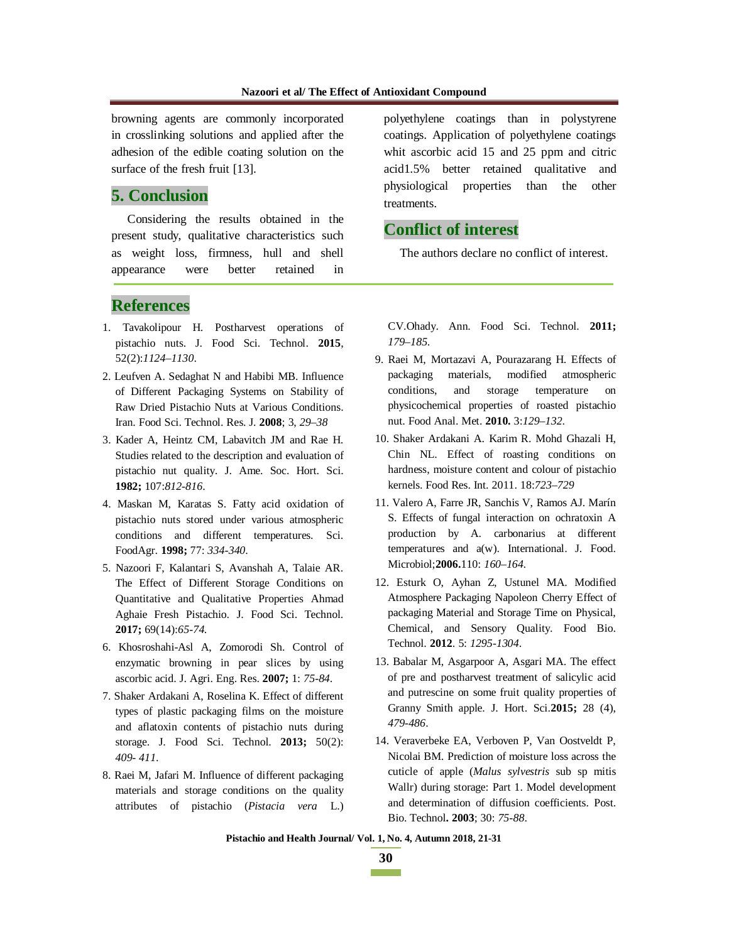browning agents are commonly incorporated in crosslinking solutions and applied after the adhesion of the edible coating solution on the surface of the fresh fruit [13].

# **5. Conclusion**

Considering the results obtained in the present study, qualitative characteristics such as weight loss, firmness, hull and shell appearance were better retained in

### **References**

- 1. Tavakolipour H. Postharvest operations of pistachio nuts. J. Food Sci. Technol. **2015**, 52(2):*1124–1130*.
- 2. Leufven A. Sedaghat N and Habibi MB. Influence of Different Packaging Systems on Stability of Raw Dried Pistachio Nuts at Various Conditions. Iran. Food Sci. Technol. Res. J. **2008**; 3, *29–38*
- 3. Kader A, Heintz CM, Labavitch JM and Rae H. Studies related to the description and evaluation of pistachio nut quality. J. Ame. Soc. Hort. Sci. **1982;** 107:*812-816*.
- 4. Maskan M, Karatas S. Fatty acid oxidation of pistachio nuts stored under various atmospheric conditions and different temperatures. Sci. FoodAgr. **1998;** 77: *334-340*.
- 5. Nazoori F, Kalantari S, Avanshah A, Talaie AR. The Effect of Different Storage Conditions on Quantitative and Qualitative Properties Ahmad Aghaie Fresh Pistachio. J. Food Sci. Technol. **2017;** 69(14):*65-74*.
- 6. Khosroshahi-Asl A, Zomorodi Sh. Control of enzymatic browning in pear slices by using ascorbic acid. J. Agri. Eng. Res. **2007;** 1: *75-84*.
- 7. Shaker Ardakani A, Roselina K. Effect of different types of plastic packaging films on the moisture and aflatoxin contents of pistachio nuts during storage. J. Food Sci. Technol. **2013;** 50(2): *409- 411*.
- 8. Raei M, Jafari M. Influence of different packaging materials and storage conditions on the quality attributes of pistachio (*Pistacia vera* L.)

polyethylene coatings than in polystyrene coatings. Application of polyethylene coatings whit ascorbic acid 15 and 25 ppm and citric acid1.5% better retained qualitative and physiological properties than the other treatments.

# **Conflict of interest**

The authors declare no conflict of interest.

CV.Ohady. Ann. Food Sci. Technol. **2011;** *179–185*.

- 9. Raei M, Mortazavi A, Pourazarang H. Effects of packaging materials, modified atmospheric conditions, and storage temperature on physicochemical properties of roasted pistachio nut. Food Anal. Met. **2010.** 3:*129–132*.
- 10. Shaker Ardakani A. Karim R. Mohd Ghazali H, Chin NL. Effect of roasting conditions on hardness, moisture content and colour of pistachio kernels. Food Res. Int. 2011. 18:*723–729*
- 11. Valero A, Farre JR, Sanchis V, Ramos AJ. Marín S. Effects of fungal interaction on ochratoxin A production by A. carbonarius at different temperatures and a(w). International. J. Food. Microbiol;**2006.**110: *160–164.*
- 12. Esturk O, Ayhan Z, Ustunel MA. Modified Atmosphere Packaging Napoleon Cherry Effect of packaging Material and Storage Time on Physical, Chemical, and Sensory Quality. Food Bio. Technol. **2012**. 5: *1295-1304*.
- 13. Babalar M, Asgarpoor A, Asgari MA. The effect of pre and postharvest treatment of salicylic acid and putrescine on some fruit quality properties of Granny Smith apple. J. Hort. Sci.**2015;** 28 (4), *479-486*.
- 14. Veraverbeke EA, Verboven P, Van Oostveldt P, Nicolai BM. Prediction of moisture loss across the cuticle of apple (*Malus sylvestris* sub sp mitis Wallr) during storage: Part 1. Model development and determination of diffusion coefficients. Post. Bio. Technol**. 2003**; 30: *75-88*.

**Pistachio and Health Journal/ Vol. 1, No. 4, Autumn 2018, 21-31** 

**30 The Common**